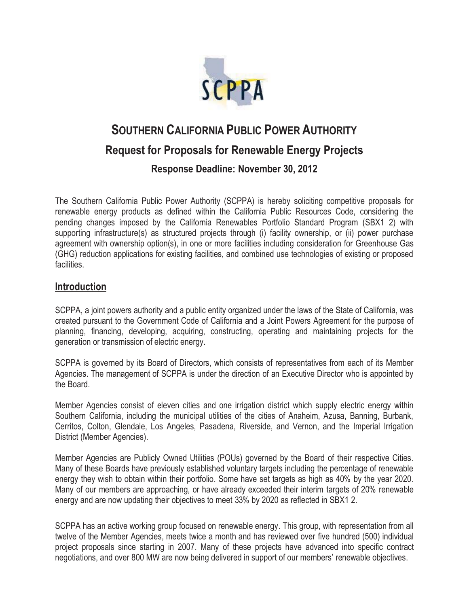

# **SOUTHERN CALIFORNIA PUBLIC POWER AUTHORITY Request for Proposals for Renewable Energy Projects**

**Response Deadline: November 30, 2012** 

The Southern California Public Power Authority (SCPPA) is hereby soliciting competitive proposals for renewable energy products as defined within the California Public Resources Code, considering the pending changes imposed by the California Renewables Portfolio Standard Program (SBX1 2) with supporting infrastructure(s) as structured projects through (i) facility ownership, or (ii) power purchase agreement with ownership option(s), in one or more facilities including consideration for Greenhouse Gas (GHG) reduction applications for existing facilities, and combined use technologies of existing or proposed facilities.

## **Introduction**

SCPPA, a joint powers authority and a public entity organized under the laws of the State of California, was created pursuant to the Government Code of California and a Joint Powers Agreement for the purpose of planning, financing, developing, acquiring, constructing, operating and maintaining projects for the generation or transmission of electric energy.

SCPPA is governed by its Board of Directors, which consists of representatives from each of its Member Agencies. The management of SCPPA is under the direction of an Executive Director who is appointed by the Board.

Member Agencies consist of eleven cities and one irrigation district which supply electric energy within Southern California, including the municipal utilities of the cities of Anaheim, Azusa, Banning, Burbank, Cerritos, Colton, Glendale, Los Angeles, Pasadena, Riverside, and Vernon, and the Imperial Irrigation District (Member Agencies).

Member Agencies are Publicly Owned Utilities (POUs) governed by the Board of their respective Cities. Many of these Boards have previously established voluntary targets including the percentage of renewable energy they wish to obtain within their portfolio. Some have set targets as high as 40% by the year 2020. Many of our members are approaching, or have already exceeded their interim targets of 20% renewable energy and are now updating their objectives to meet 33% by 2020 as reflected in SBX1 2.

SCPPA has an active working group focused on renewable energy. This group, with representation from all twelve of the Member Agencies, meets twice a month and has reviewed over five hundred (500) individual project proposals since starting in 2007. Many of these projects have advanced into specific contract negotiations, and over 800 MW are now being delivered in support of our members' renewable objectives.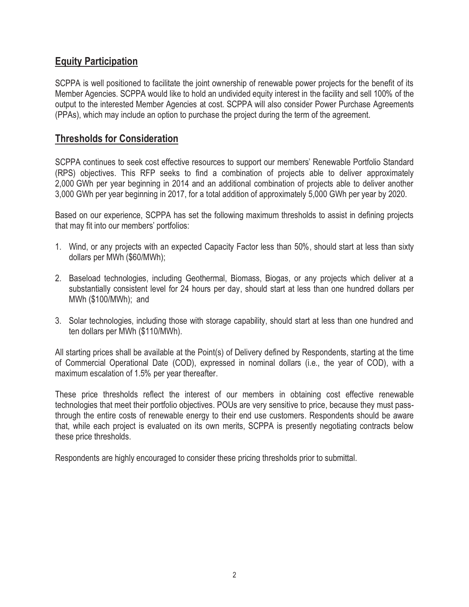### **Equity Participation**

SCPPA is well positioned to facilitate the joint ownership of renewable power projects for the benefit of its Member Agencies. SCPPA would like to hold an undivided equity interest in the facility and sell 100% of the output to the interested Member Agencies at cost. SCPPA will also consider Power Purchase Agreements (PPAs), which may include an option to purchase the project during the term of the agreement.

#### **Thresholds for Consideration**

SCPPA continues to seek cost effective resources to support our members' Renewable Portfolio Standard (RPS) objectives. This RFP seeks to find a combination of projects able to deliver approximately 2,000 GWh per year beginning in 2014 and an additional combination of projects able to deliver another 3,000 GWh per year beginning in 2017, for a total addition of approximately 5,000 GWh per year by 2020.

Based on our experience, SCPPA has set the following maximum thresholds to assist in defining projects that may fit into our members' portfolios:

- 1. Wind, or any projects with an expected Capacity Factor less than 50%, should start at less than sixty dollars per MWh (\$60/MWh);
- 2. Baseload technologies, including Geothermal, Biomass, Biogas, or any projects which deliver at a substantially consistent level for 24 hours per day, should start at less than one hundred dollars per MWh (\$100/MWh); and
- 3. Solar technologies, including those with storage capability, should start at less than one hundred and ten dollars per MWh (\$110/MWh).

All starting prices shall be available at the Point(s) of Delivery defined by Respondents, starting at the time of Commercial Operational Date (COD), expressed in nominal dollars (i.e., the year of COD), with a maximum escalation of 1.5% per year thereafter.

These price thresholds reflect the interest of our members in obtaining cost effective renewable technologies that meet their portfolio objectives. POUs are very sensitive to price, because they must passthrough the entire costs of renewable energy to their end use customers. Respondents should be aware that, while each project is evaluated on its own merits, SCPPA is presently negotiating contracts below these price thresholds.

Respondents are highly encouraged to consider these pricing thresholds prior to submittal.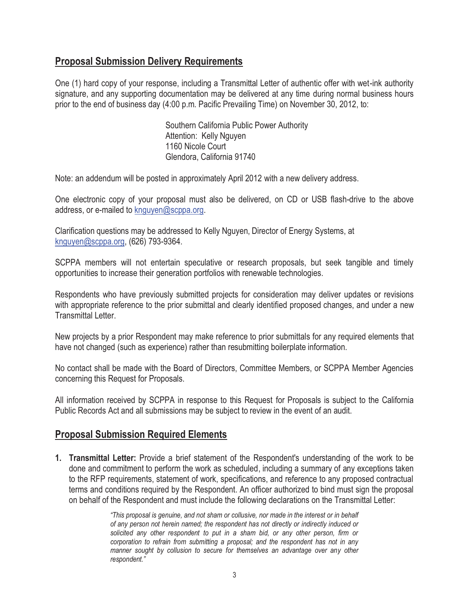#### **Proposal Submission Delivery Requirements**

One (1) hard copy of your response, including a Transmittal Letter of authentic offer with wet-ink authority signature, and any supporting documentation may be delivered at any time during normal business hours prior to the end of business day (4:00 p.m. Pacific Prevailing Time) on November 30, 2012, to:

> Southern California Public Power Authority Attention: Kelly Nguyen 1160 Nicole Court Glendora, California 91740

Note: an addendum will be posted in approximately April 2012 with a new delivery address.

One electronic copy of your proposal must also be delivered, on CD or USB flash-drive to the above address, or e-mailed to knguyen@scppa.org.

Clarification questions may be addressed to Kelly Nguyen, Director of Energy Systems, at knguyen@scppa.org, (626) 793-9364.

SCPPA members will not entertain speculative or research proposals, but seek tangible and timely opportunities to increase their generation portfolios with renewable technologies.

Respondents who have previously submitted projects for consideration may deliver updates or revisions with appropriate reference to the prior submittal and clearly identified proposed changes, and under a new Transmittal Letter.

New projects by a prior Respondent may make reference to prior submittals for any required elements that have not changed (such as experience) rather than resubmitting boilerplate information.

No contact shall be made with the Board of Directors, Committee Members, or SCPPA Member Agencies concerning this Request for Proposals.

All information received by SCPPA in response to this Request for Proposals is subject to the California Public Records Act and all submissions may be subject to review in the event of an audit.

#### **Proposal Submission Required Elements**

**1. Transmittal Letter:** Provide a brief statement of the Respondent's understanding of the work to be done and commitment to perform the work as scheduled, including a summary of any exceptions taken to the RFP requirements, statement of work, specifications, and reference to any proposed contractual terms and conditions required by the Respondent. An officer authorized to bind must sign the proposal on behalf of the Respondent and must include the following declarations on the Transmittal Letter:

> *"This proposal is genuine, and not sham or collusive, nor made in the interest or in behalf of any person not herein named; the respondent has not directly or indirectly induced or solicited any other respondent to put in a sham bid, or any other person, firm or corporation to refrain from submitting a proposal; and the respondent has not in any manner sought by collusion to secure for themselves an advantage over any other respondent."*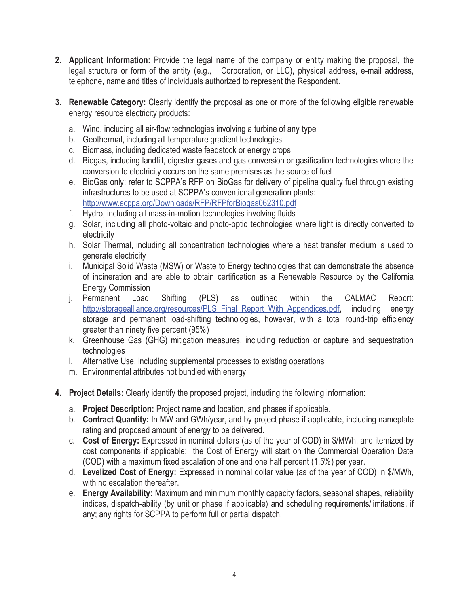- **2. Applicant Information:** Provide the legal name of the company or entity making the proposal, the legal structure or form of the entity (e.g., Corporation, or LLC), physical address, e-mail address, telephone, name and titles of individuals authorized to represent the Respondent.
- **3. Renewable Category:** Clearly identify the proposal as one or more of the following eligible renewable energy resource electricity products:
	- a. Wind, including all air-flow technologies involving a turbine of any type
	- b. Geothermal, including all temperature gradient technologies
	- c. Biomass, including dedicated waste feedstock or energy crops
	- d. Biogas, including landfill, digester gases and gas conversion or gasification technologies where the conversion to electricity occurs on the same premises as the source of fuel
	- e. BioGas only: refer to SCPPA's RFP on BioGas for delivery of pipeline quality fuel through existing infrastructures to be used at SCPPA's conventional generation plants: http://www.scppa.org/Downloads/RFP/RFPforBiogas062310.pdf
	- f. Hydro, including all mass-in-motion technologies involving fluids
	- g. Solar, including all photo-voltaic and photo-optic technologies where light is directly converted to electricity
	- h. Solar Thermal, including all concentration technologies where a heat transfer medium is used to generate electricity
	- i. Municipal Solid Waste (MSW) or Waste to Energy technologies that can demonstrate the absence of incineration and are able to obtain certification as a Renewable Resource by the California Energy Commission
	- j. Permanent Load Shifting (PLS) as outlined within the CALMAC Report: http://storagealliance.org/resources/PLS\_Final\_Report\_With\_Appendices.pdf, including energy storage and permanent load-shifting technologies, however, with a total round-trip efficiency greater than ninety five percent (95%)
	- k. Greenhouse Gas (GHG) mitigation measures, including reduction or capture and sequestration technologies
	- l. Alternative Use, including supplemental processes to existing operations
	- m. Environmental attributes not bundled with energy
- **4. Project Details:** Clearly identify the proposed project, including the following information:
	- a. **Project Description:** Project name and location, and phases if applicable.
	- b. **Contract Quantity:** In MW and GWh/year, and by project phase if applicable, including nameplate rating and proposed amount of energy to be delivered.
	- c. **Cost of Energy:** Expressed in nominal dollars (as of the year of COD) in \$/MWh, and itemized by cost components if applicable; the Cost of Energy will start on the Commercial Operation Date (COD) with a maximum fixed escalation of one and one half percent (1.5%) per year.
	- d. **Levelized Cost of Energy:** Expressed in nominal dollar value (as of the year of COD) in \$/MWh, with no escalation thereafter.
	- e. **Energy Availability:** Maximum and minimum monthly capacity factors, seasonal shapes, reliability indices, dispatch-ability (by unit or phase if applicable) and scheduling requirements/limitations, if any; any rights for SCPPA to perform full or partial dispatch.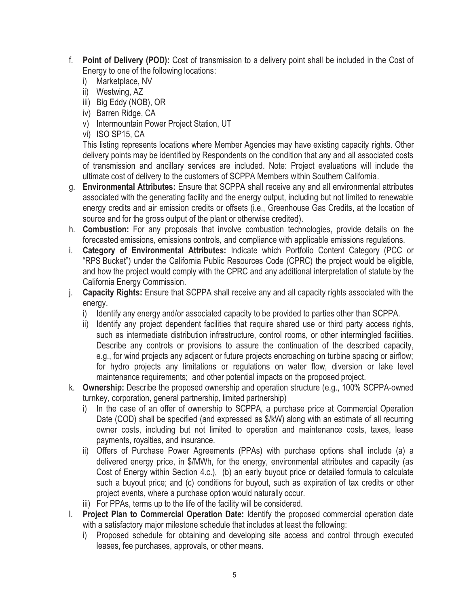- f. **Point of Delivery (POD):** Cost of transmission to a delivery point shall be included in the Cost of Energy to one of the following locations:
	- i) Marketplace, NV
	- ii) Westwing, AZ
	- iii) Big Eddy (NOB), OR
	- iv) Barren Ridge, CA
	- v) Intermountain Power Project Station, UT
	- vi) ISO SP15, CA

This listing represents locations where Member Agencies may have existing capacity rights. Other delivery points may be identified by Respondents on the condition that any and all associated costs of transmission and ancillary services are included. Note: Project evaluations will include the ultimate cost of delivery to the customers of SCPPA Members within Southern California.

- g. **Environmental Attributes:** Ensure that SCPPA shall receive any and all environmental attributes associated with the generating facility and the energy output, including but not limited to renewable energy credits and air emission credits or offsets (i.e., Greenhouse Gas Credits, at the location of source and for the gross output of the plant or otherwise credited).
- h. **Combustion:** For any proposals that involve combustion technologies, provide details on the forecasted emissions, emissions controls, and compliance with applicable emissions regulations.
- i. **Category of Environmental Attributes:** Indicate which Portfolio Content Category (PCC or "RPS Bucket") under the California Public Resources Code (CPRC) the project would be eligible, and how the project would comply with the CPRC and any additional interpretation of statute by the California Energy Commission.
- j. **Capacity Rights:** Ensure that SCPPA shall receive any and all capacity rights associated with the energy.
	- i) Identify any energy and/or associated capacity to be provided to parties other than SCPPA.
	- ii) Identify any project dependent facilities that require shared use or third party access rights, such as intermediate distribution infrastructure, control rooms, or other intermingled facilities. Describe any controls or provisions to assure the continuation of the described capacity, e.g., for wind projects any adjacent or future projects encroaching on turbine spacing or airflow; for hydro projects any limitations or regulations on water flow, diversion or lake level maintenance requirements; and other potential impacts on the proposed project.
- k. **Ownership:** Describe the proposed ownership and operation structure (e.g., 100% SCPPA-owned turnkey, corporation, general partnership, limited partnership)
	- i) In the case of an offer of ownership to SCPPA, a purchase price at Commercial Operation Date (COD) shall be specified (and expressed as  $\frac{1}{2}$ /kW) along with an estimate of all recurring owner costs, including but not limited to operation and maintenance costs, taxes, lease payments, royalties, and insurance.
	- ii) Offers of Purchase Power Agreements (PPAs) with purchase options shall include (a) a delivered energy price, in \$/MWh, for the energy, environmental attributes and capacity (as Cost of Energy within Section 4.c.), (b) an early buyout price or detailed formula to calculate such a buyout price; and (c) conditions for buyout, such as expiration of tax credits or other project events, where a purchase option would naturally occur.
	- iii) For PPAs, terms up to the life of the facility will be considered.
- l. **Project Plan to Commercial Operation Date:** Identify the proposed commercial operation date with a satisfactory major milestone schedule that includes at least the following:
	- i) Proposed schedule for obtaining and developing site access and control through executed leases, fee purchases, approvals, or other means.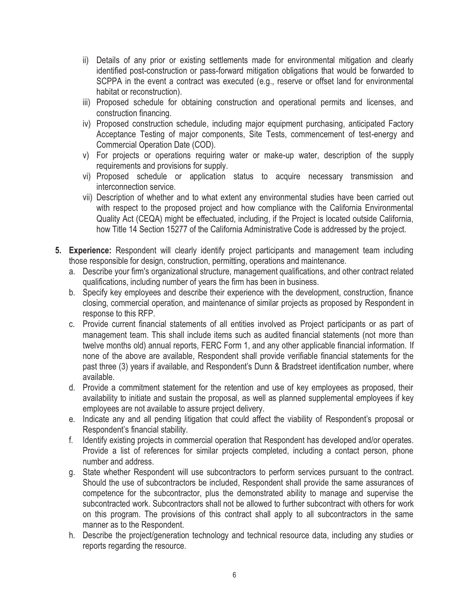- ii) Details of any prior or existing settlements made for environmental mitigation and clearly identified post-construction or pass-forward mitigation obligations that would be forwarded to SCPPA in the event a contract was executed (e.g., reserve or offset land for environmental habitat or reconstruction).
- iii) Proposed schedule for obtaining construction and operational permits and licenses, and construction financing.
- iv) Proposed construction schedule, including major equipment purchasing, anticipated Factory Acceptance Testing of major components, Site Tests, commencement of test-energy and Commercial Operation Date (COD).
- v) For projects or operations requiring water or make-up water, description of the supply requirements and provisions for supply.
- vi) Proposed schedule or application status to acquire necessary transmission and interconnection service.
- vii) Description of whether and to what extent any environmental studies have been carried out with respect to the proposed project and how compliance with the California Environmental Quality Act (CEQA) might be effectuated, including, if the Project is located outside California, how Title 14 Section 15277 of the California Administrative Code is addressed by the project.
- **5. Experience:** Respondent will clearly identify project participants and management team including those responsible for design, construction, permitting, operations and maintenance.
	- a. Describe your firm's organizational structure, management qualifications, and other contract related qualifications, including number of years the firm has been in business.
	- b. Specify key employees and describe their experience with the development, construction, finance closing, commercial operation, and maintenance of similar projects as proposed by Respondent in response to this RFP.
	- c. Provide current financial statements of all entities involved as Project participants or as part of management team. This shall include items such as audited financial statements (not more than twelve months old) annual reports, FERC Form 1, and any other applicable financial information. If none of the above are available, Respondent shall provide verifiable financial statements for the past three (3) years if available, and Respondent's Dunn & Bradstreet identification number, where available.
	- d. Provide a commitment statement for the retention and use of key employees as proposed, their availability to initiate and sustain the proposal, as well as planned supplemental employees if key employees are not available to assure project delivery.
	- e. Indicate any and all pending litigation that could affect the viability of Respondent's proposal or Respondent's financial stability.
	- f. Identify existing projects in commercial operation that Respondent has developed and/or operates. Provide a list of references for similar projects completed, including a contact person, phone number and address.
	- g. State whether Respondent will use subcontractors to perform services pursuant to the contract. Should the use of subcontractors be included, Respondent shall provide the same assurances of competence for the subcontractor, plus the demonstrated ability to manage and supervise the subcontracted work. Subcontractors shall not be allowed to further subcontract with others for work on this program. The provisions of this contract shall apply to all subcontractors in the same manner as to the Respondent.
	- h. Describe the project/generation technology and technical resource data, including any studies or reports regarding the resource.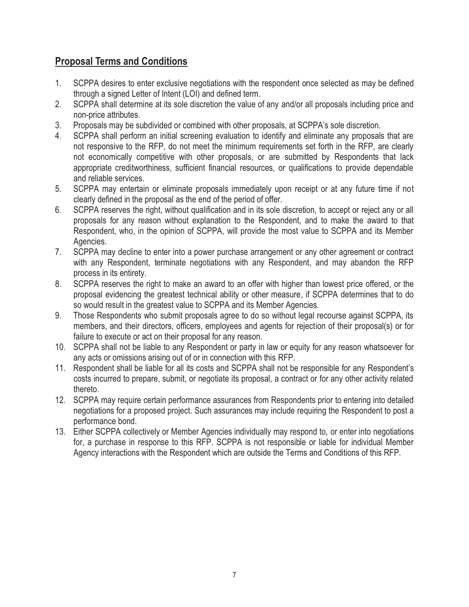## **Proposal Terms and Conditions**

- 1. SCPPA desires to enter exclusive negotiations with the respondent once selected as may be defined through a signed Letter of Intent (LOI) and defined term.
- 2. SCPPA shall determine at its sole discretion the value of any and/or all proposals including price and non-price attributes.
- 3. Proposals may be subdivided or combined with other proposals, at SCPPA's sole discretion.
- 4. SCPPA shall perform an initial screening evaluation to identify and eliminate any proposals that are not responsive to the RFP, do not meet the minimum requirements set forth in the RFP, are clearly not economically competitive with other proposals, or are submitted by Respondents that lack appropriate creditworthiness, sufficient financial resources, or qualifications to provide dependable and reliable services.
- 5. SCPPA may entertain or eliminate proposals immediately upon receipt or at any future time if not clearly defined in the proposal as the end of the period of offer.
- 6. SCPPA reserves the right, without qualification and in its sole discretion, to accept or reject any or all proposals for any reason without explanation to the Respondent, and to make the award to that Respondent, who, in the opinion of SCPPA, will provide the most value to SCPPA and its Member Agencies.
- 7. SCPPA may decline to enter into a power purchase arrangement or any other agreement or contract with any Respondent, terminate negotiations with any Respondent, and may abandon the RFP process in its entirety.
- 8. SCPPA reserves the right to make an award to an offer with higher than lowest price offered, or the proposal evidencing the greatest technical ability or other measure, if SCPPA determines that to do so would result in the greatest value to SCPPA and its Member Agencies.
- 9. Those Respondents who submit proposals agree to do so without legal recourse against SCPPA, its members, and their directors, officers, employees and agents for rejection of their proposal(s) or for failure to execute or act on their proposal for any reason.
- 10. SCPPA shall not be liable to any Respondent or party in law or equity for any reason whatsoever for any acts or omissions arising out of or in connection with this RFP.
- 11. Respondent shall be liable for all its costs and SCPPA shall not be responsible for any Respondent's costs incurred to prepare, submit, or negotiate its proposal, a contract or for any other activity related thereto.
- 12. SCPPA may require certain performance assurances from Respondents prior to entering into detailed negotiations for a proposed project. Such assurances may include requiring the Respondent to post a performance bond.
- 13. Either SCPPA collectively or Member Agencies individually may respond to, or enter into negotiations for, a purchase in response to this RFP. SCPPA is not responsible or liable for individual Member Agency interactions with the Respondent which are outside the Terms and Conditions of this RFP.